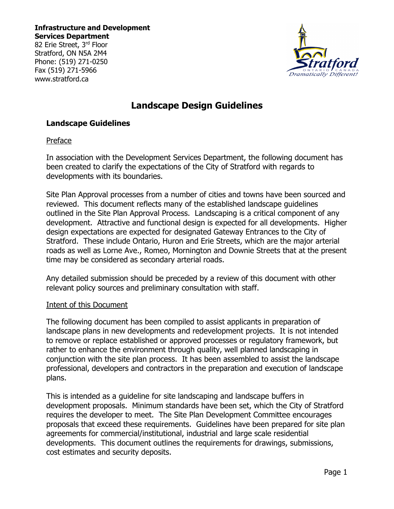82 Erie Street, 3rd Floor Stratford, ON N5A 2M4 Phone: (519) 271-0250 Fax (519) 271-5966 www.stratford.ca



# **Landscape Design Guidelines**

# **Landscape Guidelines**

### Preface

In association with the Development Services Department, the following document has been created to clarify the expectations of the City of Stratford with regards to developments with its boundaries.

Site Plan Approval processes from a number of cities and towns have been sourced and reviewed. This document reflects many of the established landscape guidelines outlined in the Site Plan Approval Process. Landscaping is a critical component of any development. Attractive and functional design is expected for all developments. Higher design expectations are expected for designated Gateway Entrances to the City of Stratford. These include Ontario, Huron and Erie Streets, which are the major arterial roads as well as Lorne Ave., Romeo, Mornington and Downie Streets that at the present time may be considered as secondary arterial roads.

Any detailed submission should be preceded by a review of this document with other relevant policy sources and preliminary consultation with staff.

### Intent of this Document

The following document has been compiled to assist applicants in preparation of landscape plans in new developments and redevelopment projects. It is not intended to remove or replace established or approved processes or regulatory framework, but rather to enhance the environment through quality, well planned landscaping in conjunction with the site plan process. It has been assembled to assist the landscape professional, developers and contractors in the preparation and execution of landscape plans.

This is intended as a guideline for site landscaping and landscape buffers in development proposals. Minimum standards have been set, which the City of Stratford requires the developer to meet. The Site Plan Development Committee encourages proposals that exceed these requirements. Guidelines have been prepared for site plan agreements for commercial/institutional, industrial and large scale residential developments. This document outlines the requirements for drawings, submissions, cost estimates and security deposits.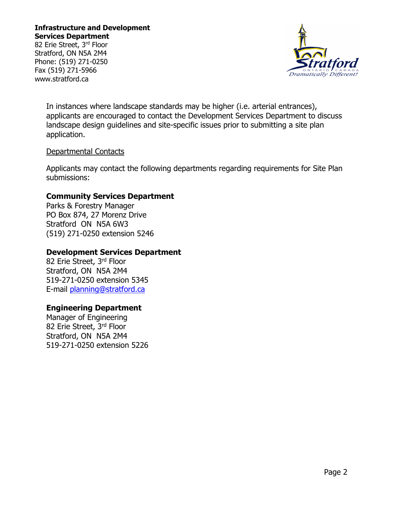82 Erie Street, 3rd Floor Stratford, ON N5A 2M4 Phone: (519) 271-0250 Fax (519) 271-5966 www.stratford.ca



In instances where landscape standards may be higher (i.e. arterial entrances), applicants are encouraged to contact the Development Services Department to discuss landscape design guidelines and site-specific issues prior to submitting a site plan application.

### Departmental Contacts

Applicants may contact the following departments regarding requirements for Site Plan submissions:

### **Community Services Department**

Parks & Forestry Manager PO Box 874, 27 Morenz Drive Stratford ON N5A 6W3 (519) 271-0250 extension 5246

## **Development Services Department**

82 Erie Street, 3rd Floor Stratford, ON N5A 2M4 519-271-0250 extension 5345 E-mail [planning@stratford.ca](mailto:planning@stratford.ca)

### **Engineering Department**

Manager of Engineering 82 Erie Street, 3rd Floor Stratford, ON N5A 2M4 519-271-0250 extension 5226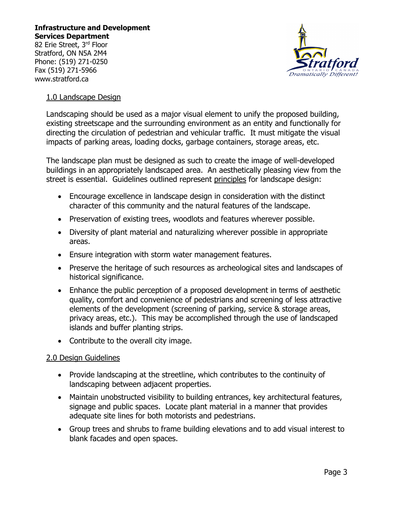82 Erie Street, 3rd Floor Stratford, ON N5A 2M4 Phone: (519) 271-0250 Fax (519) 271-5966 www.stratford.ca



## 1.0 Landscape Design

Landscaping should be used as a major visual element to unify the proposed building, existing streetscape and the surrounding environment as an entity and functionally for directing the circulation of pedestrian and vehicular traffic. It must mitigate the visual impacts of parking areas, loading docks, garbage containers, storage areas, etc.

The landscape plan must be designed as such to create the image of well-developed buildings in an appropriately landscaped area. An aesthetically pleasing view from the street is essential. Guidelines outlined represent principles for landscape design:

- Encourage excellence in landscape design in consideration with the distinct character of this community and the natural features of the landscape.
- Preservation of existing trees, woodlots and features wherever possible.
- Diversity of plant material and naturalizing wherever possible in appropriate areas.
- Ensure integration with storm water management features.
- Preserve the heritage of such resources as archeological sites and landscapes of historical significance.
- Enhance the public perception of a proposed development in terms of aesthetic quality, comfort and convenience of pedestrians and screening of less attractive elements of the development (screening of parking, service & storage areas, privacy areas, etc.). This may be accomplished through the use of landscaped islands and buffer planting strips.
- Contribute to the overall city image.

### 2.0 Design Guidelines

- Provide landscaping at the streetline, which contributes to the continuity of landscaping between adjacent properties.
- Maintain unobstructed visibility to building entrances, key architectural features, signage and public spaces. Locate plant material in a manner that provides adequate site lines for both motorists and pedestrians.
- Group trees and shrubs to frame building elevations and to add visual interest to blank facades and open spaces.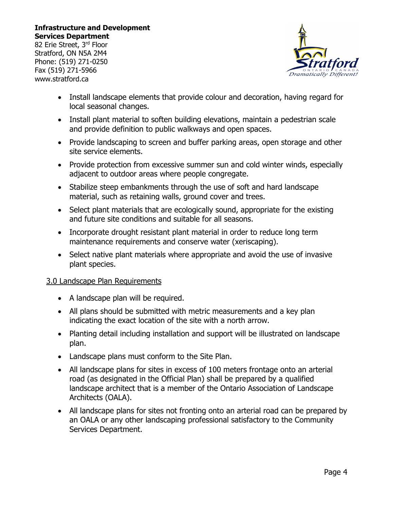82 Erie Street, 3rd Floor Stratford, ON N5A 2M4 Phone: (519) 271-0250 Fax (519) 271-5966 www.stratford.ca



- Install landscape elements that provide colour and decoration, having regard for local seasonal changes.
- Install plant material to soften building elevations, maintain a pedestrian scale and provide definition to public walkways and open spaces.
- Provide landscaping to screen and buffer parking areas, open storage and other site service elements.
- Provide protection from excessive summer sun and cold winter winds, especially adjacent to outdoor areas where people congregate.
- Stabilize steep embankments through the use of soft and hard landscape material, such as retaining walls, ground cover and trees.
- Select plant materials that are ecologically sound, appropriate for the existing and future site conditions and suitable for all seasons.
- Incorporate drought resistant plant material in order to reduce long term maintenance requirements and conserve water (xeriscaping).
- Select native plant materials where appropriate and avoid the use of invasive plant species.

# 3.0 Landscape Plan Requirements

- A landscape plan will be required.
- All plans should be submitted with metric measurements and a key plan indicating the exact location of the site with a north arrow.
- Planting detail including installation and support will be illustrated on landscape plan.
- Landscape plans must conform to the Site Plan.
- All landscape plans for sites in excess of 100 meters frontage onto an arterial road (as designated in the Official Plan) shall be prepared by a qualified landscape architect that is a member of the Ontario Association of Landscape Architects (OALA).
- All landscape plans for sites not fronting onto an arterial road can be prepared by an OALA or any other landscaping professional satisfactory to the Community Services Department.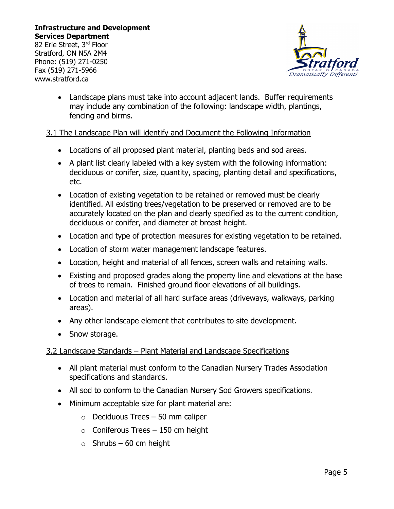82 Erie Street, 3rd Floor Stratford, ON N5A 2M4 Phone: (519) 271-0250 Fax (519) 271-5966 www.stratford.ca



• Landscape plans must take into account adjacent lands. Buffer requirements may include any combination of the following: landscape width, plantings, fencing and birms.

# 3.1 The Landscape Plan will identify and Document the Following Information

- Locations of all proposed plant material, planting beds and sod areas.
- A plant list clearly labeled with a key system with the following information: deciduous or conifer, size, quantity, spacing, planting detail and specifications, etc.
- Location of existing vegetation to be retained or removed must be clearly identified. All existing trees/vegetation to be preserved or removed are to be accurately located on the plan and clearly specified as to the current condition, deciduous or conifer, and diameter at breast height.
- Location and type of protection measures for existing vegetation to be retained.
- Location of storm water management landscape features.
- Location, height and material of all fences, screen walls and retaining walls.
- Existing and proposed grades along the property line and elevations at the base of trees to remain. Finished ground floor elevations of all buildings.
- Location and material of all hard surface areas (driveways, walkways, parking areas).
- Any other landscape element that contributes to site development.
- Snow storage.

### 3.2 Landscape Standards – Plant Material and Landscape Specifications

- All plant material must conform to the Canadian Nursery Trades Association specifications and standards.
- All sod to conform to the Canadian Nursery Sod Growers specifications.
- Minimum acceptable size for plant material are:
	- $\circ$  Deciduous Trees 50 mm caliper
	- $\circ$  Coniferous Trees 150 cm height
	- $\circ$  Shrubs 60 cm height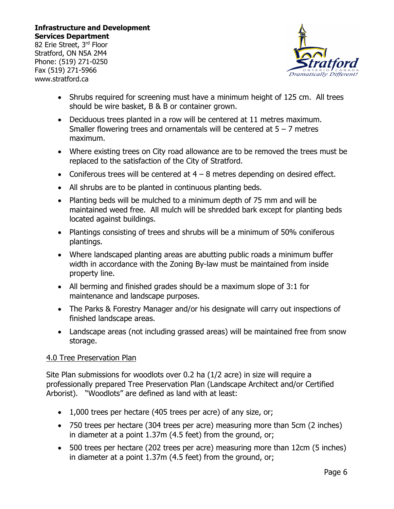82 Erie Street, 3rd Floor Stratford, ON N5A 2M4 Phone: (519) 271-0250 Fax (519) 271-5966 www.stratford.ca



- Shrubs required for screening must have a minimum height of 125 cm. All trees should be wire basket, B & B or container grown.
- Deciduous trees planted in a row will be centered at 11 metres maximum. Smaller flowering trees and ornamentals will be centered at  $5 - 7$  metres maximum.
- Where existing trees on City road allowance are to be removed the trees must be replaced to the satisfaction of the City of Stratford.
- Coniferous trees will be centered at  $4 8$  metres depending on desired effect.
- All shrubs are to be planted in continuous planting beds.
- Planting beds will be mulched to a minimum depth of 75 mm and will be maintained weed free. All mulch will be shredded bark except for planting beds located against buildings.
- Plantings consisting of trees and shrubs will be a minimum of 50% coniferous plantings.
- Where landscaped planting areas are abutting public roads a minimum buffer width in accordance with the Zoning By-law must be maintained from inside property line.
- All berming and finished grades should be a maximum slope of 3:1 for maintenance and landscape purposes.
- The Parks & Forestry Manager and/or his designate will carry out inspections of finished landscape areas.
- Landscape areas (not including grassed areas) will be maintained free from snow storage.

### 4.0 Tree Preservation Plan

Site Plan submissions for woodlots over 0.2 ha (1/2 acre) in size will require a professionally prepared Tree Preservation Plan (Landscape Architect and/or Certified Arborist). "Woodlots" are defined as land with at least:

- 1,000 trees per hectare (405 trees per acre) of any size, or;
- 750 trees per hectare (304 trees per acre) measuring more than 5cm (2 inches) in diameter at a point 1.37m (4.5 feet) from the ground, or;
- 500 trees per hectare (202 trees per acre) measuring more than 12cm (5 inches) in diameter at a point 1.37m (4.5 feet) from the ground, or;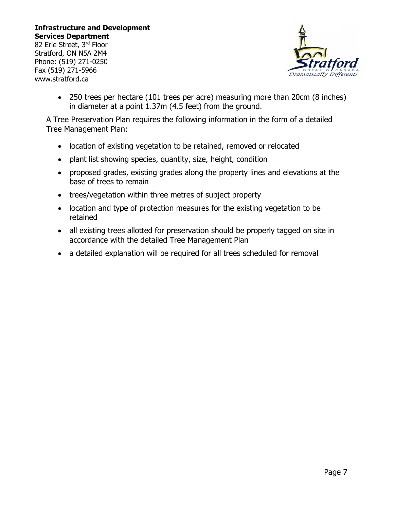82 Erie Street, 3rd Floor Stratford, ON N5A 2M4 Phone: (519) 271-0250 Fax (519) 271-5966 www.stratford.ca



• 250 trees per hectare (101 trees per acre) measuring more than 20cm (8 inches) in diameter at a point 1.37m (4.5 feet) from the ground.

A Tree Preservation Plan requires the following information in the form of a detailed Tree Management Plan:

- location of existing vegetation to be retained, removed or relocated
- plant list showing species, quantity, size, height, condition
- proposed grades, existing grades along the property lines and elevations at the base of trees to remain
- trees/vegetation within three metres of subject property
- location and type of protection measures for the existing vegetation to be retained
- all existing trees allotted for preservation should be properly tagged on site in accordance with the detailed Tree Management Plan
- a detailed explanation will be required for all trees scheduled for removal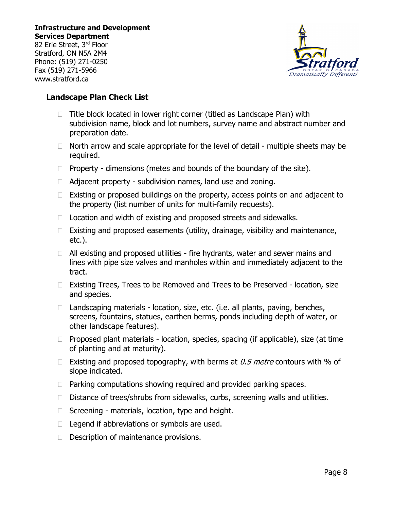82 Erie Street, 3rd Floor Stratford, ON N5A 2M4 Phone: (519) 271-0250 Fax (519) 271-5966 www.stratford.ca



# **Landscape Plan Check List**

- $\Box$  Title block located in lower right corner (titled as Landscape Plan) with subdivision name, block and lot numbers, survey name and abstract number and preparation date.
- $\Box$  North arrow and scale appropriate for the level of detail multiple sheets may be required.
- $\Box$  Property dimensions (metes and bounds of the boundary of the site).
- $\Box$  Adjacent property subdivision names, land use and zoning.
- $\Box$  Existing or proposed buildings on the property, access points on and adjacent to the property (list number of units for multi-family requests).
- $\Box$  Location and width of existing and proposed streets and sidewalks.
- $\Box$  Existing and proposed easements (utility, drainage, visibility and maintenance, etc.).
- $\Box$  All existing and proposed utilities fire hydrants, water and sewer mains and lines with pipe size valves and manholes within and immediately adjacent to the tract.
- □ Existing Trees, Trees to be Removed and Trees to be Preserved location, size and species.
- $\Box$  Landscaping materials location, size, etc. (i.e. all plants, paving, benches, screens, fountains, statues, earthen berms, ponds including depth of water, or other landscape features).
- $\Box$  Proposed plant materials location, species, spacing (if applicable), size (at time of planting and at maturity).
- Existing and proposed topography, with berms at  $0.5$  metre contours with % of slope indicated.
- $\Box$  Parking computations showing required and provided parking spaces.
- $\Box$  Distance of trees/shrubs from sidewalks, curbs, screening walls and utilities.
- $\Box$  Screening materials, location, type and height.
- $\Box$  Legend if abbreviations or symbols are used.
- $\Box$  Description of maintenance provisions.